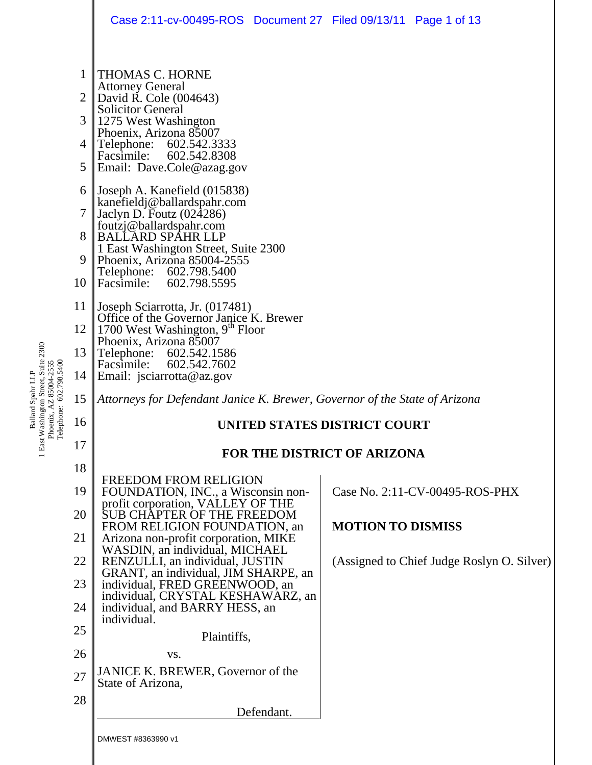|                            | Case 2:11-cv-00495-ROS  Document 27  Filed 09/13/11  Page 1 of 13                                                                                                                                                                                                                  |                                            |  |
|----------------------------|------------------------------------------------------------------------------------------------------------------------------------------------------------------------------------------------------------------------------------------------------------------------------------|--------------------------------------------|--|
| 1<br>2<br>3<br>4<br>5<br>6 | <b>THOMAS C. HORNE</b><br><b>Attorney General</b><br>David R. Cole (004643)<br><b>Solicitor General</b><br>1275 West Washington<br>Phoenix, Arizona 85007<br>Telephone:<br>602.542.3333<br>602.542.8308<br>Facsimile:<br>Email: Dave.Cole@azag.gov<br>Joseph A. Kanefield (015838) |                                            |  |
| 7<br>8<br>9                | kanefieldj@ballardspahr.com<br>Jaclyn D. Foutz (024286)<br>foutzj@ballardspahr.com<br><b>BALLARD SPAHR LLP</b><br>1 East Washington Street, Suite 2300                                                                                                                             |                                            |  |
| 10                         | Phoenix, Arizona 85004-2555<br>Telephone: 602.798.5400<br>Facsimile: 602.798.5595                                                                                                                                                                                                  |                                            |  |
| 11                         | Joseph Sciarrotta, Jr. (017481)                                                                                                                                                                                                                                                    |                                            |  |
| 12                         | Office of the Governor Janice K. Brewer<br>1700 West Washington, 9 <sup>th</sup> Floor                                                                                                                                                                                             |                                            |  |
| 13                         | Phoenix, Arizona 85007<br>Telephone:<br>602.542.1586                                                                                                                                                                                                                               |                                            |  |
| 14                         | 602.542.7602<br>Facsimile:<br>Email: jsciarrotta@az.gov                                                                                                                                                                                                                            |                                            |  |
| 15                         | Attorneys for Defendant Janice K. Brewer, Governor of the State of Arizona                                                                                                                                                                                                         |                                            |  |
| 16                         | <b>UNITED STATES DISTRICT COURT</b>                                                                                                                                                                                                                                                |                                            |  |
| 17                         | <b>FOR THE DISTRICT OF ARIZONA</b>                                                                                                                                                                                                                                                 |                                            |  |
| 18                         | <b>FREEDOM FROM RELIGION</b>                                                                                                                                                                                                                                                       |                                            |  |
| 19                         | FOUNDATION, INC., a Wisconsin non-<br>profit corporation, VALLEY OF THE                                                                                                                                                                                                            | Case No. 2:11-CV-00495-ROS-PHX             |  |
| 20<br>21                   | SUB CHÂPTER OF THE FREEDOM<br>FROM RELIGION FOUNDATION, an                                                                                                                                                                                                                         | <b>MOTION TO DISMISS</b>                   |  |
| 22                         | Arizona non-profit corporation, MIKE<br>WASDIN, an individual, MICHAEL<br>RENZULLI, an individual, JUSTIN                                                                                                                                                                          | (Assigned to Chief Judge Roslyn O. Silver) |  |
| 23                         | GRANT, an individual, JIM SHARPE, an<br>individual, FRED GREENWOOD, an                                                                                                                                                                                                             |                                            |  |
| 24                         | individual, CRYSTAL KESHAWARZ, an<br>individual, and BARRY HESS, an                                                                                                                                                                                                                |                                            |  |
| 25                         | individual.                                                                                                                                                                                                                                                                        |                                            |  |
| 26                         | Plaintiffs,<br>VS.                                                                                                                                                                                                                                                                 |                                            |  |
| 27                         | JANICE K. BREWER, Governor of the<br>State of Arizona,                                                                                                                                                                                                                             |                                            |  |
| 28                         | Defendant.                                                                                                                                                                                                                                                                         |                                            |  |
|                            | DMWEST #8363990 v1                                                                                                                                                                                                                                                                 |                                            |  |

Ballard Spahr LLP<br>1 East Washington Street, Suite 2300<br>Phoenix, AZ 85004-2555<br>Telephone: 602.798.5400 1 East Washington Street, Suite 2300 Telephone: 602.798.5400 Phoenix, AZ 85004-2555 Ballard Spahr LLP

 $\parallel$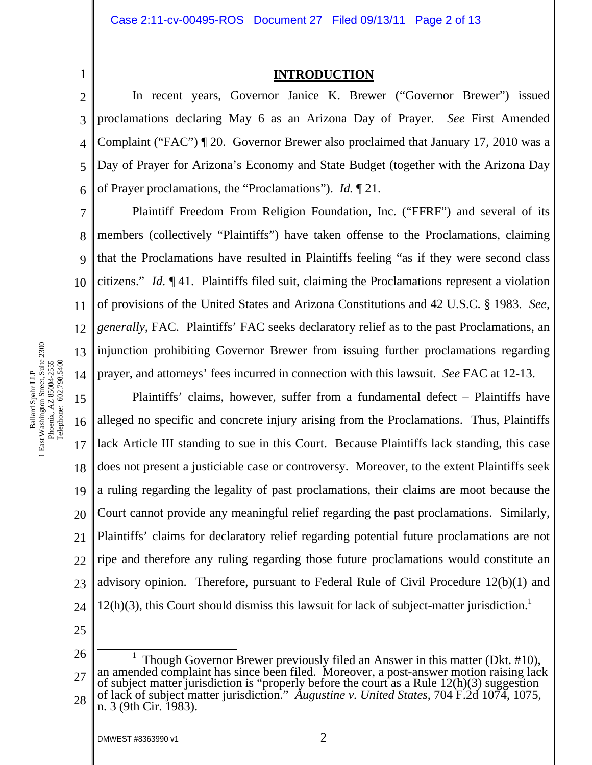1

#### **INTRODUCTION**

2 3 4 5 6 In recent years, Governor Janice K. Brewer ("Governor Brewer") issued proclamations declaring May 6 as an Arizona Day of Prayer. *See* First Amended Complaint ("FAC") ¶ 20. Governor Brewer also proclaimed that January 17, 2010 was a Day of Prayer for Arizona's Economy and State Budget (together with the Arizona Day of Prayer proclamations, the "Proclamations"). *Id.* ¶ 21.

7 8 9 10 11 12 13 14 Plaintiff Freedom From Religion Foundation, Inc. ("FFRF") and several of its members (collectively "Plaintiffs") have taken offense to the Proclamations, claiming that the Proclamations have resulted in Plaintiffs feeling "as if they were second class citizens." *Id.* ¶ 41. Plaintiffs filed suit, claiming the Proclamations represent a violation of provisions of the United States and Arizona Constitutions and 42 U.S.C. § 1983. *See, generally,* FAC. Plaintiffs' FAC seeks declaratory relief as to the past Proclamations, an injunction prohibiting Governor Brewer from issuing further proclamations regarding prayer, and attorneys' fees incurred in connection with this lawsuit. *See* FAC at 12-13.

15 16 17 18 19 20 21 22 23 24 Plaintiffs' claims, however, suffer from a fundamental defect – Plaintiffs have alleged no specific and concrete injury arising from the Proclamations. Thus, Plaintiffs lack Article III standing to sue in this Court. Because Plaintiffs lack standing, this case does not present a justiciable case or controversy. Moreover, to the extent Plaintiffs seek a ruling regarding the legality of past proclamations, their claims are moot because the Court cannot provide any meaningful relief regarding the past proclamations. Similarly, Plaintiffs' claims for declaratory relief regarding potential future proclamations are not ripe and therefore any ruling regarding those future proclamations would constitute an advisory opinion. Therefore, pursuant to Federal Rule of Civil Procedure 12(b)(1) and  $12(h)(3)$ , this Court should dismiss this lawsuit for lack of subject-matter jurisdiction.<sup>1</sup>

25

Ballard Spahr LLP 1 East Washington Street, Suite 2300 Phoenix, AZ 85004-2555 Telephone: 602.798.5400

Ballard Spahr LLP<br>1 East Washington Street, Suite 2300<br>Phoenix, AZ 85004-2555<br>Telephone: 602.798.5400

<sup>26</sup>  27 28 <u>1</u> Though Governor Brewer previously filed an Answer in this matter (Dkt. #10), an amended complaint has since been filed. Moreover, a post-answer motion raising lack of subject matter jurisdiction is "properly before the court as a Rule 12(h)(3) suggestion of lack of subject matter jurisdiction." *Augustine v. United States*, 704 F.2d 1074, 1075, n. 3 (9th Cir. 1983).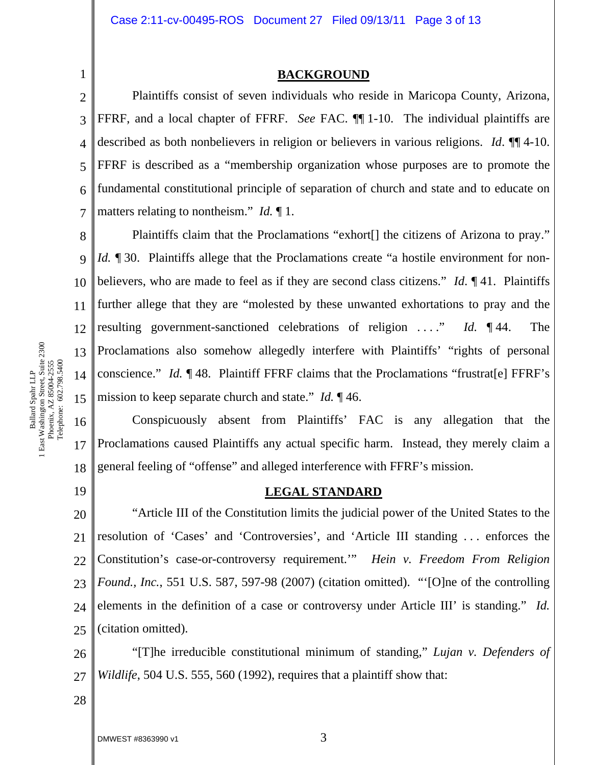#### **BACKGROUND**

2 3 4 5 6 7 Plaintiffs consist of seven individuals who reside in Maricopa County, Arizona, FFRF, and a local chapter of FFRF. *See* FAC. ¶¶ 1-10. The individual plaintiffs are described as both nonbelievers in religion or believers in various religions. *Id*. ¶¶ 4-10. FFRF is described as a "membership organization whose purposes are to promote the fundamental constitutional principle of separation of church and state and to educate on matters relating to nontheism." *Id.* ¶ 1.

8 9 10 11 12 13 14 15 Plaintiffs claim that the Proclamations "exhort<sup>[]</sup> the citizens of Arizona to pray." *Id.* 130. Plaintiffs allege that the Proclamations create "a hostile environment for nonbelievers, who are made to feel as if they are second class citizens." *Id*. ¶ 41. Plaintiffs further allege that they are "molested by these unwanted exhortations to pray and the resulting government-sanctioned celebrations of religion . . . ." *Id.* ¶ 44. The Proclamations also somehow allegedly interfere with Plaintiffs' "rights of personal conscience." *Id.* ¶ 48. Plaintiff FFRF claims that the Proclamations "frustrat[e] FFRF's mission to keep separate church and state." *Id.* ¶ 46.

16 17 18 Conspicuously absent from Plaintiffs' FAC is any allegation that the Proclamations caused Plaintiffs any actual specific harm. Instead, they merely claim a general feeling of "offense" and alleged interference with FFRF's mission.

19

1

Ballard Spahr LLP 1 East Washington Street, Suite 2300 Phoenix, AZ 85004-2555 Telephone: 602.798.5400

Ballard Spahr LLP<br>1 East Washington Street, Suite 2300<br>Phoenix, AZ 85004-2555<br>Telephone: 602.798.5400

## **LEGAL STANDARD**

20 21 22 23 24 25 "Article III of the Constitution limits the judicial power of the United States to the resolution of 'Cases' and 'Controversies', and 'Article III standing . . . enforces the Constitution's case-or-controversy requirement.'" *Hein v. Freedom From Religion Found., Inc.*, 551 U.S. 587, 597-98 (2007) (citation omitted). "'[O]ne of the controlling elements in the definition of a case or controversy under Article III' is standing." *Id.*  (citation omitted).

26 27 "[T]he irreducible constitutional minimum of standing," *Lujan v. Defenders of Wildlife*, 504 U.S. 555, 560 (1992), requires that a plaintiff show that: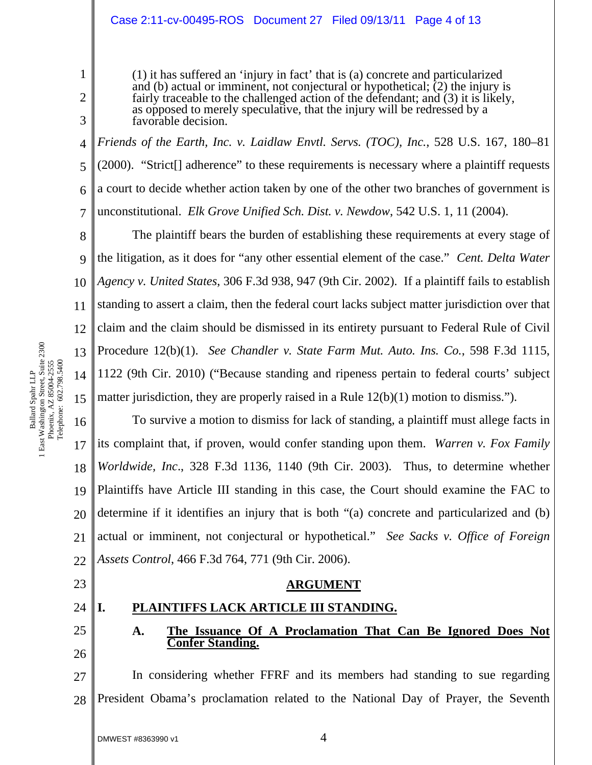#### Case 2:11-cv-00495-ROS Document 27 Filed 09/13/11 Page 4 of 13

(1) it has suffered an 'injury in fact' that is (a) concrete and particularized and (b) actual or imminent, not conjectural or hypothetical; (2) the injury is fairly traceable to the challenged action of the defendant; and (3) it is likely, as opposed to merely speculative, that the injury will be redressed by a favorable decision.

4 5 6 7 *Friends of the Earth, Inc. v. Laidlaw Envtl. Servs. (TOC), Inc.*, 528 U.S. 167, 180–81 (2000). "Strict[] adherence" to these requirements is necessary where a plaintiff requests a court to decide whether action taken by one of the other two branches of government is unconstitutional. *Elk Grove Unified Sch. Dist. v. Newdow*, 542 U.S. 1, 11 (2004).

8 9 10 11 12 13 14 15 The plaintiff bears the burden of establishing these requirements at every stage of the litigation, as it does for "any other essential element of the case." *Cent. Delta Water Agency v. United States*, 306 F.3d 938, 947 (9th Cir. 2002). If a plaintiff fails to establish standing to assert a claim, then the federal court lacks subject matter jurisdiction over that claim and the claim should be dismissed in its entirety pursuant to Federal Rule of Civil Procedure 12(b)(1). *See Chandler v. State Farm Mut. Auto. Ins. Co.*, 598 F.3d 1115, 1122 (9th Cir. 2010) ("Because standing and ripeness pertain to federal courts' subject matter jurisdiction, they are properly raised in a Rule 12(b)(1) motion to dismiss.").

16 17 18 19 20 21 22 To survive a motion to dismiss for lack of standing, a plaintiff must allege facts in its complaint that, if proven, would confer standing upon them. *Warren v. Fox Family Worldwide, Inc*., 328 F.3d 1136, 1140 (9th Cir. 2003). Thus, to determine whether Plaintiffs have Article III standing in this case, the Court should examine the FAC to determine if it identifies an injury that is both "(a) concrete and particularized and (b) actual or imminent, not conjectural or hypothetical." *See Sacks v. Office of Foreign Assets Control*, 466 F.3d 764, 771 (9th Cir. 2006).

## **ARGUMENT**

# **I. PLAINTIFFS LACK ARTICLE III STANDING.**

## **A. The Issuance Of A Proclamation That Can Be Ignored Does Not Confer Standing.**

27 28 In considering whether FFRF and its members had standing to sue regarding President Obama's proclamation related to the National Day of Prayer, the Seventh

23

24

25

26

1

2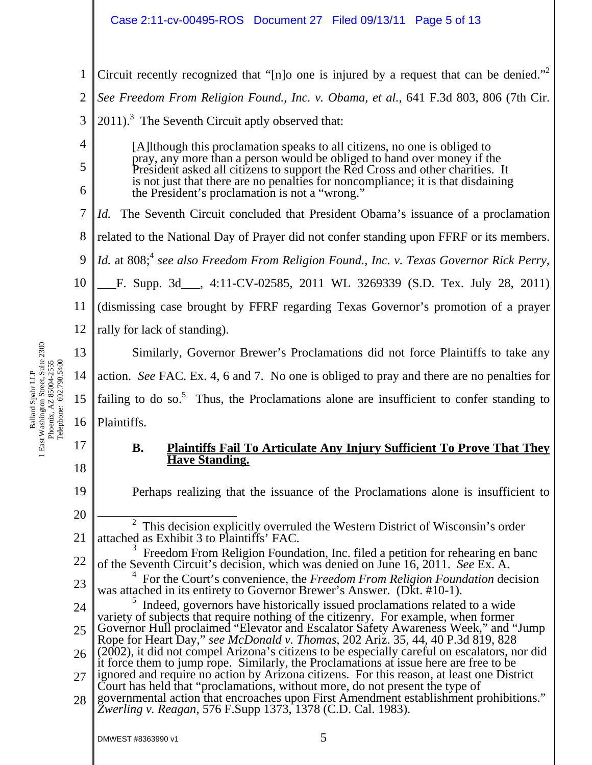1 2 3 4 Circuit recently recognized that "[n]o one is injured by a request that can be denied."<sup>2</sup> *See Freedom From Religion Found., Inc. v. Obama, et al.*, 641 F.3d 803, 806 (7th Cir.  $2011$ ).<sup>3</sup> The Seventh Circuit aptly observed that:

[A]lthough this proclamation speaks to all citizens, no one is obliged to pray, any more than a person would be obliged to hand over money if the President asked all citizens to support the Red Cross and other charities. It is not just that there are no penalties for noncompliance; it is that disdaining the President's proclamation is not a "wrong."

7 *Id.* The Seventh Circuit concluded that President Obama's issuance of a proclamation

8 related to the National Day of Prayer did not confer standing upon FFRF or its members.

9 *Id.* at 808;<sup>4</sup> see also Freedom From Religion Found., Inc. v. Texas Governor Rick Perry,

10 F. Supp. 3d , 4:11-CV-02585, 2011 WL 3269339 (S.D. Tex. July 28, 2011)

11 (dismissing case brought by FFRF regarding Texas Governor's promotion of a prayer

12 rally for lack of standing).

13 14 15 16 Similarly, Governor Brewer's Proclamations did not force Plaintiffs to take any action. *See* FAC. Ex. 4, 6 and 7. No one is obliged to pray and there are no penalties for failing to do so.<sup>5</sup> Thus, the Proclamations alone are insufficient to confer standing to Plaintiffs.

17 18

19

20

5

6

## **B. Plaintiffs Fail To Articulate Any Injury Sufficient To Prove That They Have Standing.**

Perhaps realizing that the issuance of the Proclamations alone is insufficient to

21  $\overline{\phantom{a}}$  $2$  This decision explicitly overruled the Western District of Wisconsin's order attached as Exhibit 3 to Plaintiffs' FAC.

22 23 3 Freedom From Religion Foundation, Inc. filed a petition for rehearing en banc of the Seventh Circuit's decision, which was denied on June 16, 2011. *See* Ex. A. 4 For the Court's convenience, the *Freedom From Religion Foundation* decision

was attached in its entirety to Governor Brewer's Answer. (DKt. #10-1).

24 25 26 27 <sup>5</sup> Indeed, governors have historically issued proclamations related to a wide variety of subjects that require nothing of the citizenry. For example, when former Governor Hull proclaimed "Elevator and Escalator Safety Awareness Week," and "Jump Rope for Heart Day," *see McDonald v. Thomas*, 202 Ariz. 35, 44, 40 P.3d 819, 828 (2002), it did not compel Arizona's citizens to be especially careful on escalators, nor did it force them to jump rope. Similarly, the Proclamations at issue here are free to be ignored and require no action by Arizona citizens. For this reason, at least one District Court has held that "proclamations, without more, do not present the type of

28 governmental action that encroaches upon First Amendment establishment prohibitions." *Zwerling v. Reagan*, 576 F.Supp 1373, 1378 (C.D. Cal. 1983).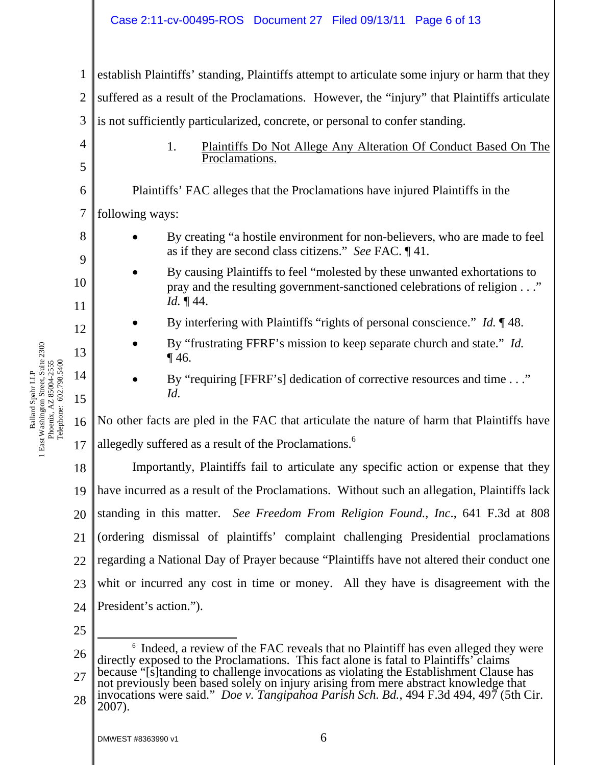|                     | Case 2:11-cv-00495-ROS  Document 27  Filed 09/13/11  Page 6 of 13                                                                                                                      |  |
|---------------------|----------------------------------------------------------------------------------------------------------------------------------------------------------------------------------------|--|
| $\mathbf{1}$        | establish Plaintiffs' standing, Plaintiffs attempt to articulate some injury or harm that they                                                                                         |  |
| $\overline{2}$      | suffered as a result of the Proclamations. However, the "injury" that Plaintiffs articulate                                                                                            |  |
| 3                   | is not sufficiently particularized, concrete, or personal to confer standing.                                                                                                          |  |
| $\overline{4}$<br>5 | 1.<br>Plaintiffs Do Not Allege Any Alteration Of Conduct Based On The<br>Proclamations.                                                                                                |  |
| 6                   | Plaintiffs' FAC alleges that the Proclamations have injured Plaintiffs in the                                                                                                          |  |
| 7                   | following ways:                                                                                                                                                                        |  |
| 8                   | By creating "a hostile environment for non-believers, who are made to feel<br>as if they are second class citizens." See FAC. $\P$ 41.                                                 |  |
| 9<br>10             | By causing Plaintiffs to feel "molested by these unwanted exhortations to<br>pray and the resulting government-sanctioned celebrations of religion"                                    |  |
| 11                  | <i>Id.</i> $\P$ 44.                                                                                                                                                                    |  |
| 12                  | By interfering with Plaintiffs "rights of personal conscience." $Id. \P 48$ .                                                                                                          |  |
| 13                  | By "frustrating FFRF's mission to keep separate church and state." Id.<br>$\P$ 46.                                                                                                     |  |
| 14<br>15            | By "requiring [FFRF's] dedication of corrective resources and time"<br>Id.                                                                                                             |  |
| 16                  | No other facts are pled in the FAC that articulate the nature of harm that Plaintiffs have                                                                                             |  |
| 17                  | allegedly suffered as a result of the Proclamations. <sup>6</sup>                                                                                                                      |  |
| 18                  | Importantly, Plaintiffs fail to articulate any specific action or expense that they                                                                                                    |  |
| 19                  | have incurred as a result of the Proclamations. Without such an allegation, Plaintiffs lack                                                                                            |  |
| 20                  | standing in this matter. See Freedom From Religion Found., Inc., 641 F.3d at 808                                                                                                       |  |
| 21                  | (ordering dismissal of plaintiffs' complaint challenging Presidential proclamations                                                                                                    |  |
| 22                  | regarding a National Day of Prayer because "Plaintiffs have not altered their conduct one                                                                                              |  |
| 23                  | whit or incurred any cost in time or money. All they have is disagreement with the                                                                                                     |  |
| 24                  | President's action.").                                                                                                                                                                 |  |
| 25                  |                                                                                                                                                                                        |  |
| 26                  | <sup>6</sup> Indeed, a review of the FAC reveals that no Plaintiff has even alleged they were<br>directly exposed to the Proclamations. This fact alone is fatal to Plaintiffs' claims |  |

27 28 because "[s]tanding to challenge invocations as violating the Establishment Clause has not previously been based solely on injury arising from mere abstract knowledge that invocations were said." *Doe v. Tangipahoa Parish Sch. Bd.*, 494 F.3d 494, 497 (5th Cir.

2007).

Ballard Spahr LLP 1 East Washington Street, Suite 2300 Phoenix, AZ 85004-2555 Telephone: 602.798.5400

Ballard Spahr LLP<br>1 East Washington Street, Suite 2300<br>Phoenix, AZ 85004-2555<br>Telephone: 602.798.5400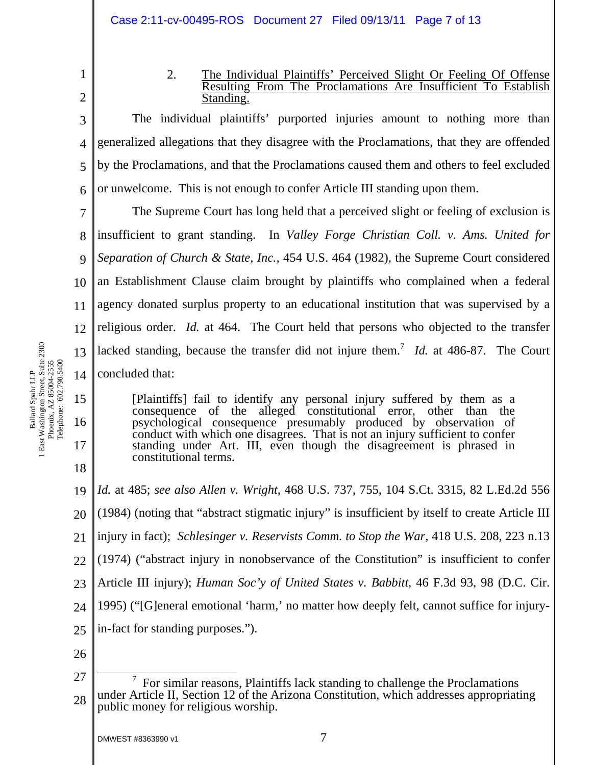2

3

4

5

6

1

## 2. The Individual Plaintiffs' Perceived Slight Or Feeling Of Offense Resulting From The Proclamations Are Insufficient To Establish Standing.

The individual plaintiffs' purported injuries amount to nothing more than generalized allegations that they disagree with the Proclamations, that they are offended by the Proclamations, and that the Proclamations caused them and others to feel excluded or unwelcome. This is not enough to confer Article III standing upon them.

7 8 9 10 11 12 13 14 The Supreme Court has long held that a perceived slight or feeling of exclusion is insufficient to grant standing. In *Valley Forge Christian Coll. v. Ams. United for Separation of Church & State, Inc.,* 454 U.S. 464 (1982), the Supreme Court considered an Establishment Clause claim brought by plaintiffs who complained when a federal agency donated surplus property to an educational institution that was supervised by a religious order. *Id.* at 464. The Court held that persons who objected to the transfer lacked standing, because the transfer did not injure them.<sup>7</sup> *Id.* at 486-87. The Court concluded that:

[Plaintiffs] fail to identify any personal injury suffered by them as a consequence of the alleged constitutional error, other than the psychological consequence presumably produced by observation of conduct with which one disagrees. That is not an injury sufficient to confer standing under Art. III, even though the disagreement is phrased in constitutional terms.

19 20 21 22 23 24 25 26 *Id.* at 485; *see also Allen v. Wright*, 468 U.S. 737, 755, 104 S.Ct. 3315, 82 L.Ed.2d 556 (1984) (noting that "abstract stigmatic injury" is insufficient by itself to create Article III injury in fact); *Schlesinger v. Reservists Comm. to Stop the War*, 418 U.S. 208, 223 n.13 (1974) ("abstract injury in nonobservance of the Constitution" is insufficient to confer Article III injury); *Human Soc'y of United States v. Babbitt*, 46 F.3d 93, 98 (D.C. Cir. 1995) ("[G]eneral emotional 'harm,' no matter how deeply felt, cannot suffice for injuryin-fact for standing purposes.").

15

16

17

<sup>27</sup>  28  $\overline{7}$  For similar reasons, Plaintiffs lack standing to challenge the Proclamations under Article II, Section 12 of the Arizona Constitution, which addresses appropriating public money for religious worship.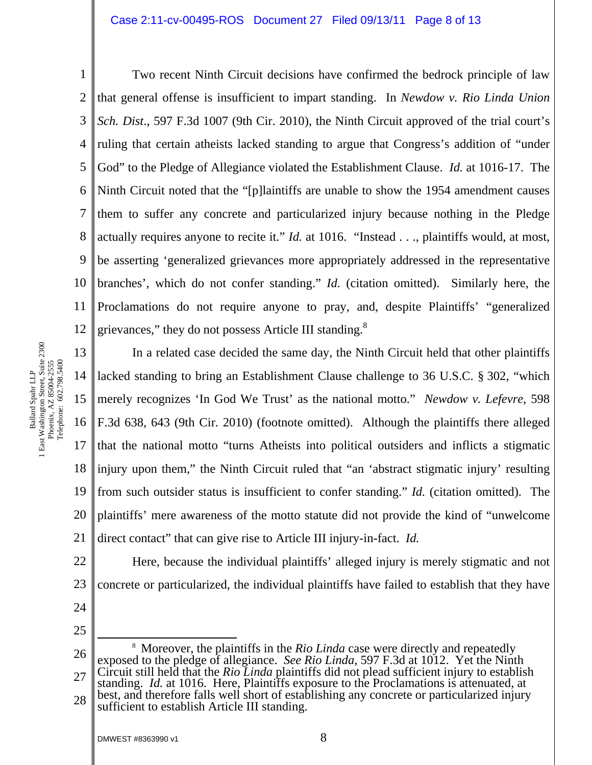#### Case 2:11-cv-00495-ROS Document 27 Filed 09/13/11 Page 8 of 13

1 2 3 4 5 6 7 8 9 10 11 12 Two recent Ninth Circuit decisions have confirmed the bedrock principle of law that general offense is insufficient to impart standing. In *Newdow v. Rio Linda Union Sch. Dist*., 597 F.3d 1007 (9th Cir. 2010), the Ninth Circuit approved of the trial court's ruling that certain atheists lacked standing to argue that Congress's addition of "under God" to the Pledge of Allegiance violated the Establishment Clause. *Id.* at 1016-17. The Ninth Circuit noted that the "[p]laintiffs are unable to show the 1954 amendment causes them to suffer any concrete and particularized injury because nothing in the Pledge actually requires anyone to recite it." *Id.* at 1016. "Instead . . ., plaintiffs would, at most, be asserting 'generalized grievances more appropriately addressed in the representative branches', which do not confer standing." *Id.* (citation omitted). Similarly here, the Proclamations do not require anyone to pray, and, despite Plaintiffs' "generalized grievances," they do not possess Article III standing. $8$ 

13 14 15 16 17 18 19 20 21 In a related case decided the same day, the Ninth Circuit held that other plaintiffs lacked standing to bring an Establishment Clause challenge to 36 U.S.C. § 302, "which merely recognizes 'In God We Trust' as the national motto." *Newdow v. Lefevre*, 598 F.3d 638, 643 (9th Cir. 2010) (footnote omitted). Although the plaintiffs there alleged that the national motto "turns Atheists into political outsiders and inflicts a stigmatic injury upon them," the Ninth Circuit ruled that "an 'abstract stigmatic injury' resulting from such outsider status is insufficient to confer standing." *Id.* (citation omitted). The plaintiffs' mere awareness of the motto statute did not provide the kind of "unwelcome direct contact" that can give rise to Article III injury-in-fact. *Id.*

22 23 Here, because the individual plaintiffs' alleged injury is merely stigmatic and not concrete or particularized, the individual plaintiffs have failed to establish that they have

- 24
- 25

26 27  $\frac{1}{8}$  Moreover, the plaintiffs in the *Rio Linda* case were directly and repeatedly exposed to the pledge of allegiance. *See Rio Linda,* 597 F.3d at 1012. Yet the Ninth Circuit still held that the *Rio Linda* plaintiffs did not plead sufficient injury to establish

28 standing. *Id.* at 1016. Here, Plaintiffs exposure to the Proclamations is attenuated, at best, and therefore falls well short of establishing any concrete or particularized injury sufficient to establish Article III standing.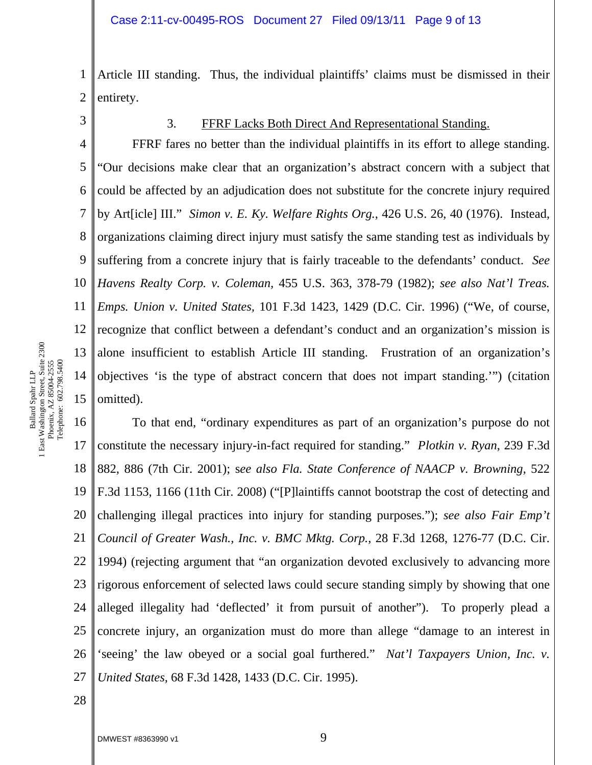1 2 Article III standing. Thus, the individual plaintiffs' claims must be dismissed in their entirety.

3

#### 3. FFRF Lacks Both Direct And Representational Standing.

4 5 6 7 8 9 10 11 12 13 14 15 FFRF fares no better than the individual plaintiffs in its effort to allege standing. "Our decisions make clear that an organization's abstract concern with a subject that could be affected by an adjudication does not substitute for the concrete injury required by Art[icle] III." *Simon v. E. Ky. Welfare Rights Org.*, 426 U.S. 26, 40 (1976). Instead, organizations claiming direct injury must satisfy the same standing test as individuals by suffering from a concrete injury that is fairly traceable to the defendants' conduct. *See Havens Realty Corp. v. Coleman,* 455 U.S. 363, 378-79 (1982); *see also Nat'l Treas. Emps. Union v. United States,* 101 F.3d 1423, 1429 (D.C. Cir. 1996) ("We, of course, recognize that conflict between a defendant's conduct and an organization's mission is alone insufficient to establish Article III standing. Frustration of an organization's objectives 'is the type of abstract concern that does not impart standing.'") (citation omitted).

16 17 18 19 20 21 22 23 24 25 26 27 To that end, "ordinary expenditures as part of an organization's purpose do not constitute the necessary injury-in-fact required for standing." *Plotkin v. Ryan*, 239 F.3d 882, 886 (7th Cir. 2001); s*ee also Fla. State Conference of NAACP v. Browning*, 522 F.3d 1153, 1166 (11th Cir. 2008) ("[P]laintiffs cannot bootstrap the cost of detecting and challenging illegal practices into injury for standing purposes."); *see also Fair Emp't Council of Greater Wash., Inc. v. BMC Mktg. Corp.*, 28 F.3d 1268, 1276-77 (D.C. Cir. 1994) (rejecting argument that "an organization devoted exclusively to advancing more rigorous enforcement of selected laws could secure standing simply by showing that one alleged illegality had 'deflected' it from pursuit of another"). To properly plead a concrete injury, an organization must do more than allege "damage to an interest in 'seeing' the law obeyed or a social goal furthered." *Nat'l Taxpayers Union, Inc. v. United States,* 68 F.3d 1428, 1433 (D.C. Cir. 1995).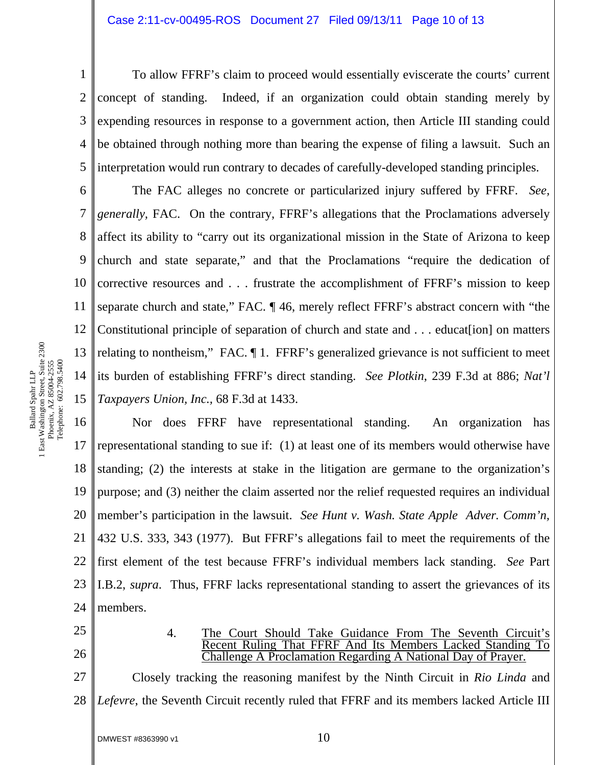1 2 3 4 5 To allow FFRF's claim to proceed would essentially eviscerate the courts' current concept of standing. Indeed, if an organization could obtain standing merely by expending resources in response to a government action, then Article III standing could be obtained through nothing more than bearing the expense of filing a lawsuit. Such an interpretation would run contrary to decades of carefully-developed standing principles.

6 7 8 9 10 11 12 13 14 15 The FAC alleges no concrete or particularized injury suffered by FFRF. *See, generally, FAC.* On the contrary, FFRF's allegations that the Proclamations adversely affect its ability to "carry out its organizational mission in the State of Arizona to keep church and state separate," and that the Proclamations "require the dedication of corrective resources and . . . frustrate the accomplishment of FFRF's mission to keep separate church and state," FAC. ¶ 46, merely reflect FFRF's abstract concern with "the Constitutional principle of separation of church and state and . . . educat[ion] on matters relating to nontheism," FAC. ¶ 1. FFRF's generalized grievance is not sufficient to meet its burden of establishing FFRF's direct standing. *See Plotkin*, 239 F.3d at 886; *Nat'l Taxpayers Union, Inc.,* 68 F.3d at 1433.

16 17 18 19 20 21 22 23 24 Nor does FFRF have representational standing. An organization has representational standing to sue if: (1) at least one of its members would otherwise have standing; (2) the interests at stake in the litigation are germane to the organization's purpose; and (3) neither the claim asserted nor the relief requested requires an individual member's participation in the lawsuit. *See Hunt v. Wash. State Apple Adver. Comm'n,* 432 U.S. 333, 343 (1977). But FFRF's allegations fail to meet the requirements of the first element of the test because FFRF's individual members lack standing. *See* Part I.B.2, *supra*. Thus, FFRF lacks representational standing to assert the grievances of its members.

- 25
- 26
- 4. The Court Should Take Guidance From The Seventh Circuit's Recent Ruling That FFRF And Its Members Lacked Standing To Challenge A Proclamation Regarding A National Day of Prayer.

27 28 Closely tracking the reasoning manifest by the Ninth Circuit in *Rio Linda* and *Lefevre*, the Seventh Circuit recently ruled that FFRF and its members lacked Article III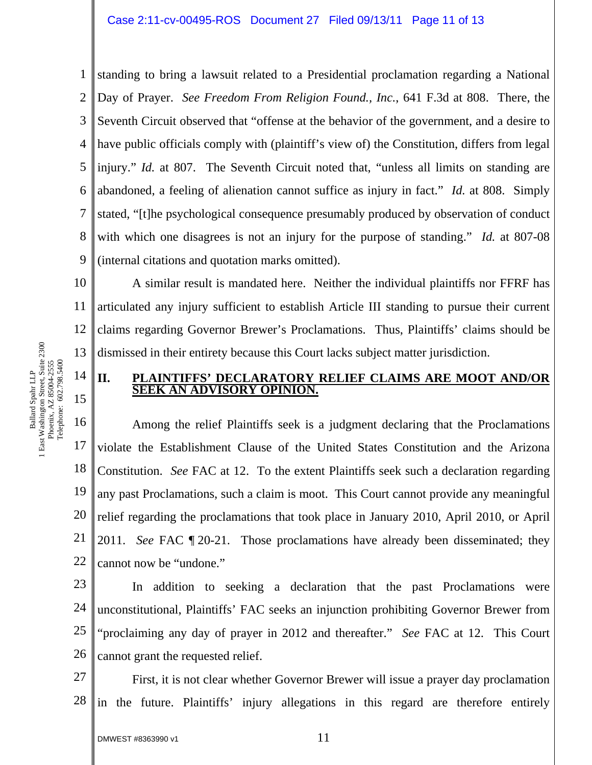#### Case 2:11-cv-00495-ROS Document 27 Filed 09/13/11 Page 11 of 13

1 2 3 4 5 6 7 8 9 standing to bring a lawsuit related to a Presidential proclamation regarding a National Day of Prayer. *See Freedom From Religion Found., Inc.*, 641 F.3d at 808. There, the Seventh Circuit observed that "offense at the behavior of the government, and a desire to have public officials comply with (plaintiff's view of) the Constitution, differs from legal injury." *Id.* at 807. The Seventh Circuit noted that, "unless all limits on standing are abandoned, a feeling of alienation cannot suffice as injury in fact." *Id.* at 808. Simply stated, "[t]he psychological consequence presumably produced by observation of conduct with which one disagrees is not an injury for the purpose of standing." *Id.* at 807-08 (internal citations and quotation marks omitted).

10 11 12 13 A similar result is mandated here. Neither the individual plaintiffs nor FFRF has articulated any injury sufficient to establish Article III standing to pursue their current claims regarding Governor Brewer's Proclamations. Thus, Plaintiffs' claims should be dismissed in their entirety because this Court lacks subject matter jurisdiction.

## **II. PLAINTIFFS' DECLARATORY RELIEF CLAIMS ARE MOOT AND/OR SEEK AN ADVISORY OPINION.**

16 17 18 19 20 21 22 Among the relief Plaintiffs seek is a judgment declaring that the Proclamations violate the Establishment Clause of the United States Constitution and the Arizona Constitution. *See* FAC at 12. To the extent Plaintiffs seek such a declaration regarding any past Proclamations, such a claim is moot. This Court cannot provide any meaningful relief regarding the proclamations that took place in January 2010, April 2010, or April 2011. *See* FAC ¶ 20-21. Those proclamations have already been disseminated; they cannot now be "undone."

23 24 25 26 In addition to seeking a declaration that the past Proclamations were unconstitutional, Plaintiffs' FAC seeks an injunction prohibiting Governor Brewer from "proclaiming any day of prayer in 2012 and thereafter." *See* FAC at 12. This Court cannot grant the requested relief.

27 28 First, it is not clear whether Governor Brewer will issue a prayer day proclamation in the future. Plaintiffs' injury allegations in this regard are therefore entirely

14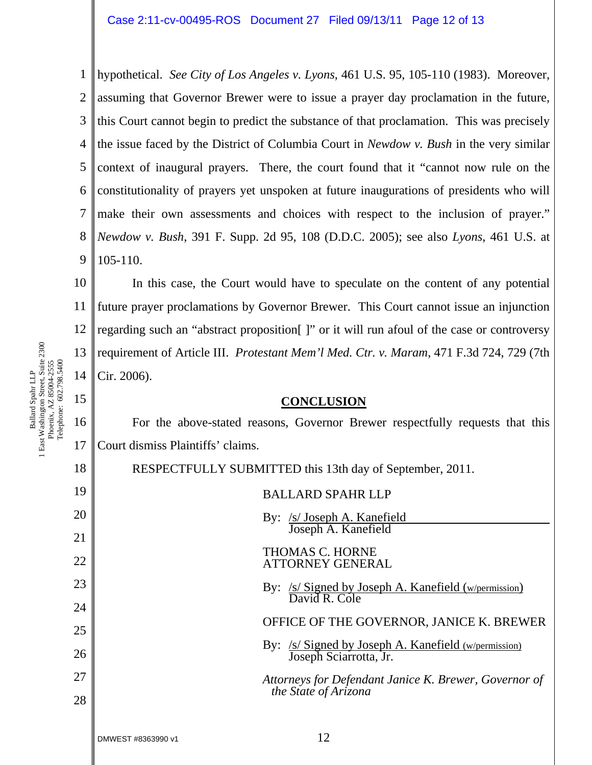1 2 3 4 5 6 7 8 9 hypothetical. *See City of Los Angeles v. Lyons*, 461 U.S. 95, 105-110 (1983). Moreover, assuming that Governor Brewer were to issue a prayer day proclamation in the future, this Court cannot begin to predict the substance of that proclamation. This was precisely the issue faced by the District of Columbia Court in *Newdow v. Bush* in the very similar context of inaugural prayers. There, the court found that it "cannot now rule on the constitutionality of prayers yet unspoken at future inaugurations of presidents who will make their own assessments and choices with respect to the inclusion of prayer." *Newdow v. Bush*, 391 F. Supp. 2d 95, 108 (D.D.C. 2005); see also *Lyons*, 461 U.S. at 105-110.

10 11 12 13 14 In this case, the Court would have to speculate on the content of any potential future prayer proclamations by Governor Brewer. This Court cannot issue an injunction regarding such an "abstract proposition[ ]" or it will run afoul of the case or controversy requirement of Article III. *Protestant Mem'l Med. Ctr. v. Maram*, 471 F.3d 724, 729 (7th Cir. 2006).

#### **CONCLUSION**

For the above-stated reasons, Governor Brewer respectfully requests that this Court dismiss Plaintiffs' claims.

18 19 20 21 22 23 24 25 26 27 28 DMWEST #8363990 v1  $12$ RESPECTFULLY SUBMITTED this 13th day of September, 2011. BALLARD SPAHR LLP By: /s/ Joseph A. Kanefield Joseph A. Kanefield THOMAS C. HORNE ATTORNEY GENERAL By: /s/ Signed by Joseph A. Kanefield (w/permission) David R. Cole OFFICE OF THE GOVERNOR, JANICE K. BREWER By: /s/ Signed by Joseph A. Kanefield (w/permission) Joseph Sciarrotta, Jr. *Attorneys for Defendant Janice K. Brewer, Governor of the State of Arizona* 

Ballard Spahr LLP<br>1 East Washington Street, Suite 2300<br>Phoenix, AZ 85004-2555<br>Telephone: 602.798.5400 1 East Washington Street, Suite 2300 Telephone: 602.798.5400 Phoenix, AZ 85004-2555 Ballard Spahr LLP

15

16